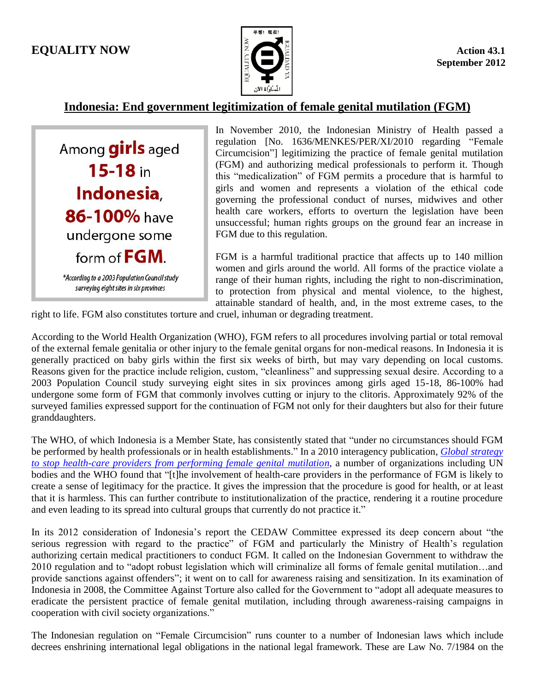## **EQUALITY NOW**  $\leq \qquad \qquad$



## **Indonesia: End government legitimization of female genital mutilation (FGM)**

Among girls aged  $15 - 18$  in Indonesia, 86-100% have undergone some form of FGM. \*According to a 2003 Population Council study surveying eight sites in six provinces

In November 2010, the Indonesian Ministry of Health passed a regulation [No. 1636/MENKES/PER/XI/2010 regarding "Female Circumcision"] legitimizing the practice of female genital mutilation (FGM) and authorizing medical professionals to perform it. Though this "medicalization" of FGM permits a procedure that is harmful to girls and women and represents a violation of the ethical code governing the professional conduct of nurses, midwives and other health care workers, efforts to overturn the legislation have been unsuccessful; human rights groups on the ground fear an increase in FGM due to this regulation.

FGM is a harmful traditional practice that affects up to 140 million women and girls around the world. All forms of the practice violate a range of their human rights, including the right to non-discrimination, to protection from physical and mental violence, to the highest, attainable standard of health, and, in the most extreme cases, to the

right to life. FGM also constitutes torture and cruel, inhuman or degrading treatment.

According to the World Health Organization (WHO), FGM refers to all procedures involving partial or total removal of the external female genitalia or other injury to the female genital organs for non-medical reasons. In Indonesia it is generally practiced on baby girls within the first six weeks of birth, but may vary depending on local customs. Reasons given for the practice include religion, custom, "cleanliness" and suppressing sexual desire. According to a 2003 Population Council study surveying eight sites in six provinces among girls aged 15-18, 86-100% had undergone some form of FGM that commonly involves cutting or injury to the clitoris. Approximately 92% of the surveyed families expressed support for the continuation of FGM not only for their daughters but also for their future granddaughters.

The WHO, of which Indonesia is a Member State, has consistently stated that "under no circumstances should FGM be performed by health professionals or in health establishments." In a 2010 interagency publication, *[Global strategy](http://www.who.int/reproductivehealth/publications/fgm/rhr_10_9/en/index.html)  [to stop health-care providers from performing female genital mutilation](http://www.who.int/reproductivehealth/publications/fgm/rhr_10_9/en/index.html)*, a number of organizations including UN bodies and the WHO found that "[t]he involvement of health-care providers in the performance of FGM is likely to create a sense of legitimacy for the practice. It gives the impression that the procedure is good for health, or at least that it is harmless. This can further contribute to institutionalization of the practice, rendering it a routine procedure and even leading to its spread into cultural groups that currently do not practice it."

In its 2012 consideration of Indonesia's report the CEDAW Committee expressed its deep concern about "the serious regression with regard to the practice" of FGM and particularly the Ministry of Health's regulation authorizing certain medical practitioners to conduct FGM. It called on the Indonesian Government to withdraw the 2010 regulation and to "adopt robust legislation which will criminalize all forms of female genital mutilation…and provide sanctions against offenders"; it went on to call for awareness raising and sensitization. In its examination of Indonesia in 2008, the Committee Against Torture also called for the Government to "adopt all adequate measures to eradicate the persistent practice of female genital mutilation, including through awareness-raising campaigns in cooperation with civil society organizations."

The Indonesian regulation on "Female Circumcision" runs counter to a number of Indonesian laws which include decrees enshrining international legal obligations in the national legal framework. These are Law No. 7/1984 on the